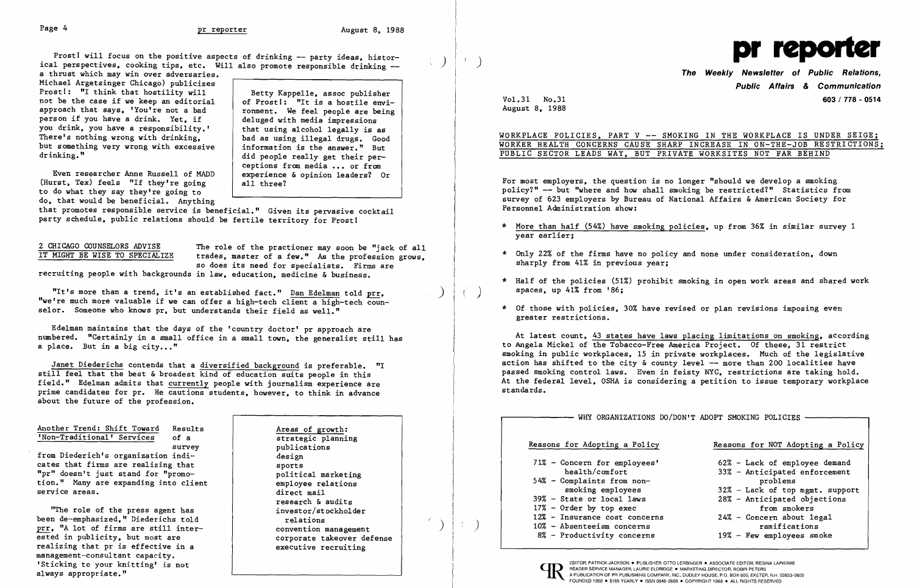Prost! will focus on the positive aspects of drinking -- party ideas, historical perspectives, cooking tips, etc. Will also promote responsible drinking --<br>a thrust which may win over adversaries.

Michael Argetsinger Chicago) publicizes Prost!: "I think that hostility will not be the case if we keep an editorial approach that says, 'You're not a bad person if you have a drink. Yet, if you drink, you have a responsibility.' There's nothing wrong with drinking, but something very wrong with excessive drinking."

## The Weekly Newsletter of Public Relations, Public Affairs & Communication Vol. 31 No. 31 **603** / 778 - 0514

Even researcher Anne Russell of MADD (Hurst, Tex) feels "If they're going to do what they say they're going to do, that would be beneficial. Anything

WORKPLACE POLICIES, PART V -- SMOKING IN THE WORKPLACE IS UNDER SEIGE; WORKER HEALTH CONCERNS CAUSE SHARP INCREASE IN ON-THE-JOB RESTRICTIONS; PUBLIC SECTOR LEADS WAY, BUT PRIVATE WORKSITES NOT FAR BEHIND

Betty Kappelle, assoc publisher of Prost!: "It is a hostile environment. We feel people are being deluged with media impressions that using alcohol legally is as bad as using illegal drugs. Good information is the answer." But did people really get their perceptions from media ••• or from experience & opinion leaders? Or all three1

that promotes responsible service is beneficial." Given its pervasive cocktail party schedule, public relations should be fertile territory for Prost!

2 CHICAGO COUNSELORS ADVISE The role of the practioner may soon be "jack of all<br>IT MIGHT BE WISE TO SPECIALIZE trades, master of a few." As the profession grows. trades, master of a few." As the profession grows,<br>so does its need for specialists. Firms are<br>so does its need for specialists. Firms are<br>sharply from 41% in previous year;

recruiting people with backgrounds in law, education, medicine & business.

"It's more than a trend, it's an established fact." Dan Edelman told prr, "we're much more valuable if we can offer a high-tech client a high-tech counselor. Someone who knows pr. but understands their field as well." \* Of those with policies, 30% have revised or plan revisions imposing even



August 8, 1988

- \* More than half (54%) have smoking policies, up from 36% in similar survey 1 year earlier;
- 
- \* Half of the policies (51%) prohibit smoking in open work areas and shared work spaces, up 41% from '86;
- greater restrictions.

Edelman maintains that the days of the 'country doctor' pr approach are a place. But in a big city..."

For most employers, the question is no longer "should we develop a smoking policy?" -- but "where and how shall smoking be restricted?" Statistics from survey of 623 employers by Bureau of National Affairs & American Society for Personnel Administration show:

## Another Trend: Shift Toward Results 'Non-Traditional' Services of a survey

numbered. "Certainly in a small office in a small town, the generalist still has and the states count, and intest still and the states have laws placing limitations on smoking, according to Angela Mickel of the Tobacco-Free America Project. Of these, 31 restrict smoking in public workplaces, 15 in private workplaces. Much of the legislative action has shifted to the city & county level  $-\frac{1}{2}$  more than 200 localities have passed smoking control laws. Even in feisty NYC, restrictions are taking hold. At the federal level, OSHA is considering a petition to issue temporary workplace standards.

Janet Diederichs contends that a diversified background is preferable. "I still feel that the best & broadest  $\overline{\text{kind of education suits}}$  people in this field." Edelman admits that currently people with journalism experience are prime candidates for pr. He cautions students, however, to think in advance about the future of the profession.

from Diederich's organization indicates that firms are realizing that "pr" doesn't just stand for "promotion." Many are expanding into client service areas.

"The role of the press agent has been de-emphasized," Diederichs told prr, "A lot of firms are still interested in publicity, but most are realizing that pr is effective in a management-consultant capacity. 'Sticking to your knitting' is not always appropriate."

Areas of growth: strategic planning publications design sports political marketing employee relations direct mail research & audits investor/stockholder relations convention management corporate takeover defense executive recruiting

Reasons for Adopting a Policy Reasons for NOT Adopting a Policy 71% - Concern for employees' 62% - Lack of employee demand<br>health/comfort 33% - Anticipated enforcement  $33\%$  - Anticipated enforcement<br>problems smoking employees 32% - Lack of top mgmt. support<br>39% - State or local laws 28% - Anticipated objections  $28\%$  - Anticipated objections 17% - Order by top exec<br>12% - Insurance cost concerns 624% - Concern about legal 8% - Productivity concerns 19% - Few employees smoke